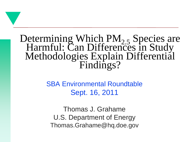#### Determining Which  $PM_{2.5}$  Species are Harmful: Can Differences in Study Methodologies Explain Differential Findings?

SBA Environmental Roundtable Sept. 16, 2011

Thomas J. Grahame U.S. Department of Energy Thomas.Grahame@hq.doe.gov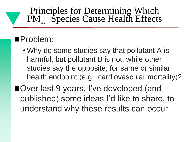#### Principles for Determining Which PM<sub>2.5</sub> Species Cause Health Effects

#### Problem:

- Why do some studies say that pollutant A is harmful, but pollutant B is not, while other studies say the opposite, for same or similar health endpoint (e.g., cardiovascular mortality)?
- ■Over last 9 years, I've developed (and published) some ideas I'd like to share, to understand why these results can occur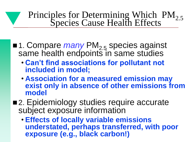# Principles for Determining Which PM<sub>2.5</sub><br>Species Cause Health Effects

- ■1. Compare *many* PM<sub>2.5</sub> species against same health endpoints in same studies
	- **Can't find associations for pollutant not included in model;**
	- **Association for a measured emission may exist only in absence of other emissions from model**
- 2. Epidemiology studies require accurate subject exposure information
	- **Effects of locally variable emissions understated, perhaps transferred, with poor exposure (e.g., black carbon!)**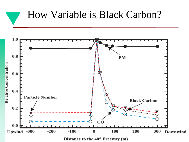### How Variable is Black Carbon?

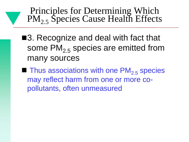Principles for Determining Which PM<sub>2.5</sub> Species Cause Health Effects

- ■3. Recognize and deal with fact that some  $PM_{2,5}$  species are emitted from many sources
- $\blacksquare$  Thus associations with one PM<sub>2.5</sub> species may reflect harm from one or more copollutants, often unmeasured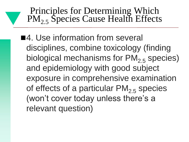Principles for Determining Which PM<sub>2.5</sub> Species Cause Health Effects

■4. Use information from several disciplines, combine toxicology (finding biological mechanisms for  $PM_{2.5}$  species) and epidemiology with good subject exposure in comprehensive examination of effects of a particular  $PM_{2,5}$  species (won't cover today unless there's a relevant question)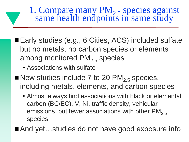1. Compare many PM<sub>2.5</sub> species against same health endpoints in same study

- Early studies (e.g., 6 Cities, ACS) included sulfate but no metals, no carbon species or elements among monitored  $PM<sub>2.5</sub>$  species
	- Associations with sulfate
- New studies include 7 to 20  $PM<sub>2.5</sub>$  species, including metals, elements, and carbon species
	- Almost always find associations with black or elemental carbon (BC/EC), V, Ni, traffic density, vehicular emissions, but fewer associations with other  $PM<sub>2.5</sub>$ species

■ And yet...studies do not have good exposure info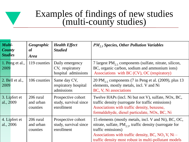#### Examples of findings of new studies (multi-county studies)

| Multi-<br><b>County</b><br><b>Studies</b> | Geographic<br>al<br><b>Area</b>    | <b>Health Effect</b><br><b>Studied</b>                    | $PM25$ Species, Other Pollution Variables                                                                                                                                                                                                                        |
|-------------------------------------------|------------------------------------|-----------------------------------------------------------|------------------------------------------------------------------------------------------------------------------------------------------------------------------------------------------------------------------------------------------------------------------|
| 1. Peng et al.,<br>2009                   | 119 counties                       | Daily emergency<br>CV, respiratory<br>hospital admissions | 7 largest $PM_{2.5}$ components (sulfate, nitrate, silicon,<br>BC, organic carbon, sodium and ammonium ions)<br>Associations with BC (CV), OC (respiratory)                                                                                                      |
| 2. Bell et al.,<br>2009                   | 106 counties                       | Same day CV,<br>respiratory hospital<br>admissions        | 20 PM <sub>2.5</sub> components (7 in Peng et al. (2009), plus 13<br>elements, mostly metals, incl. V and Ni<br>BC, V, Ni associations                                                                                                                           |
| 3. Lipfert et<br>al., 2009                | 206 rural<br>and urban<br>counties | Prospective cohort<br>study, survival since<br>enrollment | Twelve HAPs (incl. Ni but not V), sulfate, NOx, BC,<br>traffic density (surrogate for traffic emissions)<br>Associations with traffic density, benzene,<br>formaldehyde, diesel particulate, NO <sub>x</sub> , BC, Ni                                            |
| 4. Lipfert et<br>al., 2006                | 206 rural<br>and urban<br>counties | Prospective cohort<br>study, survival since<br>enrollment | 15 elements (mostly metals, incl. V and Ni), BC, OC,<br>nitrate, sulfate, $PM_{2,5}$ , traffic density (surrogate for<br>traffic emissions)<br>Associations with traffic density, BC, $NO_3 V$ , $Ni -$<br>traffic density most robust in multi-pollutant models |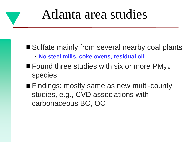# Atlanta area studies

#### ■ Sulfate mainly from several nearby coal plants

- **No steel mills, coke ovens, residual oil**
- **Found three studies with six or more PM<sub>2.5</sub>** species
- **Findings: mostly same as new multi-county** studies, e.g., CVD associations with carbonaceous BC, OC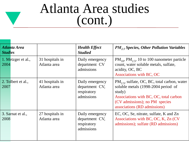# Atlanta Area studies (cont.)

| Atlanta Area<br><b>Studies</b> |                                 | <b>Health Effect</b><br><b>Studied</b>                         | $PM2.5$ Species, Other Pollution Variables                                                                                                                                                                     |
|--------------------------------|---------------------------------|----------------------------------------------------------------|----------------------------------------------------------------------------------------------------------------------------------------------------------------------------------------------------------------|
| 1. Metzger et al.,<br>2004     | 31 hospitals in<br>Atlanta area | Daily emergency<br>department CV<br>admissions                 | $PM_{10}$ , $PM_{25}$ , 10 to 100 nanometer particle<br>count, water soluble metals, sulfate,<br>acidity, OC, BC<br>Associations with BC, OC                                                                   |
| 2. Tolbert et al.,<br>2007     | 41 hospitals in<br>Atlanta area | Daily emergency<br>department CV,<br>respiratory<br>admissions | $PM_{2,5}$ , sulfate, OC, BC, total carbon, water<br>soluble metals (1998-2004 period of<br>study)<br>Associations with BC, OC, total carbon<br>(CV admissions); no PM species<br>associations (RD admissions) |
| 3. Sarnat et al.,<br>2008      | 27 hospitals in<br>Atlanta area | Daily emergency<br>department CV,<br>respiratory<br>admissions | EC, OC, Se, nitrate, sulfate, K and Zn<br>Associations with BC, OC, K, Zn (CV)<br>admissions); sulfate (RD admissions)                                                                                         |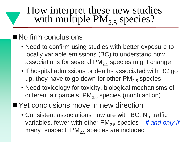### How interpret these new studies with multiple  $PM_{2,5}$  species?

#### No firm conclusions

- Need to confirm using studies with better exposure to locally variable emissions (BC) to understand how associations for several  $PM<sub>2.5</sub>$  species might change
- If hospital admissions or deaths associated with BC go up, they have to go down for other  $PM_{2.5}$  species
- Need toxicology for toxicity, biological mechanisms of different air parcels,  $PM<sub>2.5</sub>$  species (much action)
- Yet conclusions move in new direction
	- Consistent associations now are with BC, Ni, traffic variables, fewer with other PM<sub>2.5</sub> species – *if and only if* many "suspect"  $PM<sub>2.5</sub>$  species are included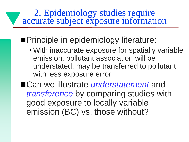2. Epidemiology studies require accurate subject exposure information

**Principle in epidemiology literature:** 

• With inaccurate exposure for spatially variable emission, pollutant association will be understated, may be transferred to pollutant with less exposure error

■Can we illustrate *understatement* and *transference* by comparing studies with good exposure to locally variable emission (BC) vs. those without?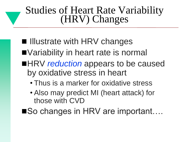### Studies of Heart Rate Variability (HRV) Changes

- $\blacksquare$  Illustrate with HRV changes
- ■Variability in heart rate is normal
- ■HRV *reduction* appears to be caused by oxidative stress in heart
	- Thus is a marker for oxidative stress
	- Also may predict MI (heart attack) for those with CVD
- ■So changes in HRV are important....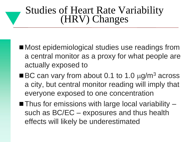### Studies of Heart Rate Variability (HRV) Changes

- Most epidemiological studies use readings from a central monitor as a proxy for what people are actually exposed to
- $\blacksquare$  BC can vary from about 0.1 to 1.0  $\mu$ g/m<sup>3</sup> across a city, but central monitor reading will imply that everyone exposed to one concentration
- $\blacksquare$  Thus for emissions with large local variability  $\blacksquare$ such as BC/EC – exposures and thus health effects will likely be underestimated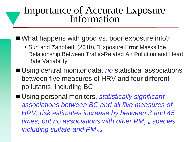#### Importance of Accurate Exposure Information

- What happens with good vs. poor exposure info?
	- Suh and Zanobetti (2010), "Exposure Error Masks the Relationship Between Traffic-Related Air Pollution and Heart Rate Variability"
- Using central monitor data, *no* statistical associations between five measures of HRV and four different pollutants, including BC

■ Using personal monitors, *statistically significant associations between BC and all five measures of HRV, risk estimates increase by between 3 and 45 times, but no associations with other PM2.5 species, including sulfate and PM<sub>2.5</sub>*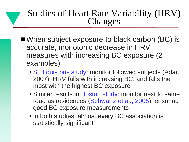#### Studies of Heart Rate Variability (HRV) Changes

- When subject exposure to black carbon (BC) is accurate, monotonic decrease in HRV measures with increasing BC exposure (2 examples)
	- St. Louis bus study: monitor followed subjects (Adar, 2007); HRV falls with increasing BC, and falls the most with the highest BC exposure
	- Similar results in Boston study: monitor next to same road as residences (Schwartz et al., 2005), ensuring good BC exposure measurements
	- In both studies, almost every BC association is statistically significant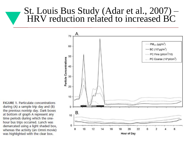#### St. Louis Bus Study (Adar et al., 2007) – HRV reduction related to increased BC



**FIGURE 1. Particulate concentrations** during (A) a sample trip day and (B) the previous nontrip day. Dark boxes at bottom of graph A represent any time periods during which the onehour bus trips occurred. Lunch was demarcated using a light shaded box, whereas the activity (an Omni movie) was highlighted with the clear box.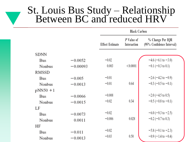#### St. Louis Bus Study – Relationship Between BC and reduced HRV

|            |            | <b>Black Carbon</b>    |                           |                                               |  |
|------------|------------|------------------------|---------------------------|-----------------------------------------------|--|
|            |            | <b>Effect Estimate</b> | P Value of<br>Interaction | % Change Per IQR<br>(95% Confidence Interval) |  |
| SDNN       |            |                        |                           |                                               |  |
| Bus        | $-0.0052$  | $-0.02$                |                           | $-4.6$ (-6.1 to -3.0)                         |  |
| Nonbus     | $-0.00093$ | 0.003                  | < 0.0001                  | $-0.1$ ( $-0.3$ to 0.1)                       |  |
| RMSSD      |            |                        |                           |                                               |  |
| <b>Bus</b> | $-0.005$   | $-0.01$                |                           | $-2.6$ ( $-4.2$ to $-0.9$ )                   |  |
| Nonbus     | $-0.0013$  | $-0.01$                | 0.64                      | $-0.3$ ( $-0.5$ to $-0.1$ )                   |  |
| $pNN50+1$  |            |                        |                           |                                               |  |
| Bus        | $-0.0066$  | $-0.008$               |                           | $-2.0$ ( $-4.5$ to 0.5)                       |  |
| Nonbus     | $-0.0015$  | $-0.02$                | 0.34                      | $-0.5$ ( $-0.8$ to $-0.1$ )                   |  |
| LF         |            |                        |                           |                                               |  |
| <b>Bus</b> | $-0.0073$  | $-0.02$                |                           | $-6.0$ (-9.3 to -2.5)                         |  |
| Nonbus     | 0.0011     | $-0.006$               | 0.028                     | $-0.2$ (-0.7 to 0.3)                          |  |
| ΗF         |            |                        |                           |                                               |  |
| <b>Bus</b> | $-0.011$   | $-0.02$                |                           | $-5.8$ (-9.1 to -2.3)                         |  |
| Nonbus     | $-0.0013$  | $-0.03$                | 0.50                      | $-0.9$ ( $-1.4$ to $-0.4$ )                   |  |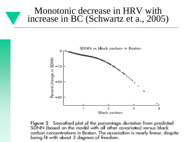#### Monotonic decrease in HRV with increase in BC (Schwartz et a., 2005)



Figure 2 Smoothed plot of the percentage deviation from predicted SDNN (based on the model with all other covariates) versus black carbon concentrations in Boston. The association is nearly linear, despite being fit with about 3 degrees of freedom.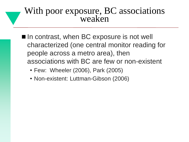#### With poor exposure, BC associations weaken

- $\blacksquare$  In contrast, when BC exposure is not well characterized (one central monitor reading for people across a metro area), then associations with BC are few or non-existent
	- Few: Wheeler (2006), Park (2005)
	- Non-existent: Luttman-Gibson (2006)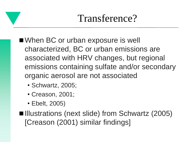# Transference?

- When BC or urban exposure is well characterized, BC or urban emissions are associated with HRV changes, but regional emissions containing sulfate and/or secondary organic aerosol are not associated
	- Schwartz, 2005;
	- Creason, 2001;
	- Ebelt, 2005)

■Illustrations (next slide) from Schwartz (2005) [Creason (2001) similar findings]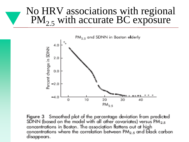### No HRV associations with regional  $PM_{2.5}$  with accurate BC exposure



Figure 3 Smoothed plot of the percentage deviation from predicted SDNN (based on the model with all other covariates) versus  $PM_{2.5}$ concentrations in Boston. The association flattens out at high concentrations where the correlation between  $PM_{2.5}$  and black carbon disappears.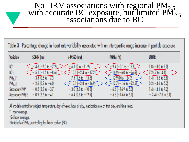# No HRV associations with regional PM<sub>2.5</sub> with accurate BC exposure, but limited PM<sub>2.5</sub> associations due to BC

|                           |                               |                                                                                                                | Table 3 Percentage change in heart rate variability associated with an interquartile range increase in particle exposure |                              |
|---------------------------|-------------------------------|----------------------------------------------------------------------------------------------------------------|--------------------------------------------------------------------------------------------------------------------------|------------------------------|
| Variable                  | SDNN (ms)                     | r-MSSD (ms)                                                                                                    | <b>PNNso (%)</b>                                                                                                         | <b>UHFR</b>                  |
| $\mathbb{C}^*$            | $-4.6(-2.0 \text{ to } -7.2)$ | $-6.1(0) - 11.9$                                                                                               | $-9.4(-0.1) -17.8$                                                                                                       | $1.8$ (-3.0 to 7.0)          |
| BC <sub>†</sub>           | $-5.1(-1.5$ to $-8.6$         | $-10.1$ (-2.4 to -17.2)                                                                                        | $-16.9[-60 \text{ b } -26.6]$                                                                                            | $7.2$ (.7 to 14.1)           |
| $PM_{2.5}$                | $-3.4(0.6 \text{ to } -7.3)$  | $-7.4$ (1.6 to $-15.5$ )                                                                                       | $-12.9$ (0 to $-24.2$ )                                                                                                  | $1.4(-5.5)$ to 8.8           |
| $PM_{25}$ $\uparrow$      | $-2.6(0.8 \text{ to } -6.0)$  | $-10.1$ (-2.8 to -16.9)                                                                                        | $-12.7$ (-1.6 to -22.5)                                                                                                  | $0.2$ (-4.6 to 5.2)          |
| Secondary PM*             | $-0.5(2.8 b - 3.7)$           | $-3.0$ (4.8 to $-10.3$ )                                                                                       | $-6.6$ (-16.9 to 5.0)                                                                                                    | $1.4(-4.1)$ to 7.2           |
| Secondary PM <sub>T</sub> | $-0.9(2.5 b - 4.1)$           | $-6.4$ (0.6 to $-12.9$ )                                                                                       | $-5.8$ (-15.6 to 5.1)                                                                                                    | $-2.4(-7.6 \text{ to } 3.1)$ |
|                           |                               | all the confidence of the confident to the confidence of the confidence of the confidence of a late of the con |                                                                                                                          |                              |

supject, lempe u

\*1 hour average.

†24 hour average.

#Residuals of PM<sub>2.5</sub> controlling for black carbon (BC).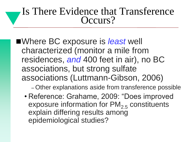#### Is There Evidence that Transference Occurs?

- ■Where BC exposure is *least* well characterized (monitor a mile from residences, *and* 400 feet in air), no BC associations, but strong sulfate associations (Luttmann-Gibson, 2006)
	- Other explanations aside from transference possible
	- Reference: Grahame, 2009: "Does improved exposure information for  $PM<sub>2.5</sub>$  constituents explain differing results among epidemiological studies?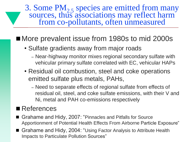3. Some  $PM<sub>2.5</sub>$  species are emitted from many sources, thus associations may reflect harm from co-pollutants, often unmeasured

#### ■ More prevalent issue from 1980s to mid 2000s

- Sulfate gradients away from major roads
	- Near-highway monitor mixes regional secondary sulfate with vehicular primary sulfate correlated with EC, vehicular HAPs
- Residual oil combustion, steel and coke operations emitted sulfate plus metals, PAHs,
	- Need to separate effects of regional sulfate from effects of residual oil, steel, and coke sulfate emissions, with their V and Ni, metal and PAH co-emissions respectively

#### ■ References

- Grahame and Hidy, 2007: "Pinnacles and Pitfalls for Source Apportionment of Potential Health Effects From Airborne Particle Exposure"
- Grahame and Hidy, 2004: "Using Factor Analysis to Attribute Health Impacts to Particulate Pollution Sources"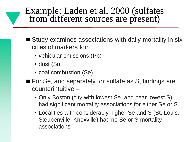#### Example: Laden et al, 2000 (sulfates from different sources are present)

- Study examines associations with daily mortality in six cities of markers for:
	- vehicular emissions (Pb)
	- dust (Si)
	- coal combustion (Se)
- For Se, and separately for sulfate as S, findings are counterintuitive –
	- Only Boston (city with lowest Se, and near lowest S) had significant mortality associations for either Se or S
	- Localities with considerably higher Se and S (St. Louis, Steubenville, Knoxville) had no Se or S mortality associations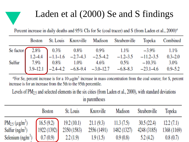### Laden et al (2000) Se and S findings

Percent increase in daily deaths and 95% CIs for Se (coal tracer) and S (from Laden et al., 2000)<sup>a</sup>

|  |  | Boston St. Louis Knoxville Madison Steubenville Topeka Combined                                                                                                                                                                                                                              |  |
|--|--|----------------------------------------------------------------------------------------------------------------------------------------------------------------------------------------------------------------------------------------------------------------------------------------------|--|
|  |  | Se factor<br>$\begin{array}{ccccccccc}\n & 2.8\% & 0.3\% & 0.8\% & 0.9\% & 1.1\% & -3.9\% & 1.1\% \\  & 1.2-4.4 & -1.1-1.6 & -2.7-4.3 & -2.5-4.2 & -1.2-3.5 & -11.2-3.5 & 0.3-2.0 \\  & 7.9\% & 0.8\% & 1.0\% & 4.6\% & 0.5\% & -10.3\% & 3.0\% \\  & 3.9-12.1 & -2.4-4.2 & -6.8-9.4 & -3.0$ |  |
|  |  |                                                                                                                                                                                                                                                                                              |  |
|  |  |                                                                                                                                                                                                                                                                                              |  |
|  |  |                                                                                                                                                                                                                                                                                              |  |

<sup>a</sup>For Se, percent increase is for a  $10-\mu g/m^3$  increase in mass concentration from the coal source; for S, percent increase is for an increase from the 5th to the 95th percentile.

Levels of  $PM_{2,5}$  and selected elements in the six cities (from Laden et al., 2000), with standard deviations in parentheses

|                                                                                                     | <b>Boston</b> | St. Louis                                                                                                                                | Knoxville                                       | Madison  | Steubenville | Topeka                  |
|-----------------------------------------------------------------------------------------------------|---------------|------------------------------------------------------------------------------------------------------------------------------------------|-------------------------------------------------|----------|--------------|-------------------------|
| $PM_{2.5} (\mu g/m^3)$<br>Sulfur $(ng/m^3)$<br>Selenium (ng/m <sup>3</sup> ) $(0.7 (0.9)$ 2.2 (1.9) |               | $\begin{bmatrix} 16.5 (9.2) & 19.2 (10.1) & 21.1 (9.3) & 11.3 (7.5) & 30.5 (22.4) & 12.2 (7.1) \end{bmatrix}$<br>1922 (1392) 2350 (1583) | 2556 (1491) 1482 (1327) 4248 (3185)<br>1.9(1.5) | 0.9(0.8) | 5.2(4.2)     | 1368 (1169)<br>0.8(0.7) |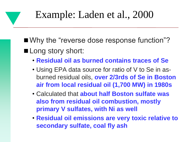■ Why the "reverse dose response function"? ■ Long story short:

- **Residual oil as burned contains traces of Se**
- Using EPA data source for ratio of V to Se in asburned residual oils, **over 2/3rds of Se in Boston air from local residual oil (1,700 MW) in 1980s**
- Calculated that **about half Boston sulfate was also from residual oil combustion, mostly primary V sulfates, with Ni as well**
- **Residual oil emissions are very toxic relative to secondary sulfate, coal fly ash**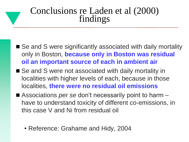#### Conclusions re Laden et al (2000) findings

- Se and S were significantly associated with daily mortality only in Boston, **because only in Boston was residual oil an important source of each in ambient air**
- Se and S were not associated with daily mortality in localities with higher levels of each, because in those localities, **there were no residual oil emissions**
- Associations *per se* don't necessarily point to harm have to understand toxicity of different co-emissions, in this case V and Ni from residual oil
	- Reference: Grahame and Hidy, 2004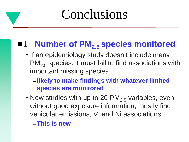# Conclusions

### ■1. **Number of PM<sub>2.5</sub> species monitored**

- If an epidemiology study doesn't include many  $PM<sub>2.5</sub>$  species, it must fail to find associations with important missing species
	- **likely to make findings with whatever limited species are monitored**
- New studies with up to 20 PM<sub>2.5</sub> variables, even without good exposure information, mostly find vehicular emissions, V, and Ni associations

– **This is new**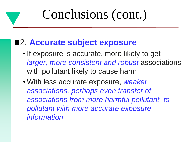#### 2. **Accurate subject exposure**

- If exposure is accurate, more likely to get *larger, more consistent and robust* associations with pollutant likely to cause harm
- With less accurate exposure, *weaker associations, perhaps even transfer of associations from more harmful pollutant, to pollutant with more accurate exposure information*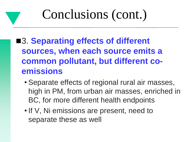- ■3. Separating effects of different **sources, when each source emits a common pollutant, but different coemissions**
	- Separate effects of regional rural air masses, high in PM, from urban air masses, enriched in BC, for more different health endpoints
	- If V, Ni emissions are present, need to separate these as well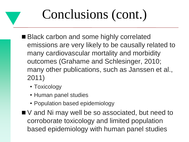- Black carbon and some highly correlated emissions are very likely to be causally related to many cardiovascular mortality and morbidity outcomes (Grahame and Schlesinger, 2010; many other publications, such as Janssen et al., 2011)
	- Toxicology
	- Human panel studies
	- Population based epidemiology
- V and Ni may well be so associated, but need to corroborate toxicology and limited population based epidemiology with human panel studies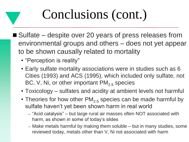- Sulfate despite over 20 years of press releases from environmental groups and others – does not yet appear to be shown causally related to mortality
	- "Perception is reality"
	- Early sulfate mortality associations were in studies such as 6 Cities (1993) and ACS (1995), which included only sulfate, not BC, V, Ni, or other important  $PM_{2.5}$  species
	- Toxicology sulfates and acidity at ambient levels not harmful
	- Theories for how other  $PM<sub>2.5</sub>$  species can be made harmful by sulfate haven't yet been shown harm in real world
		- "Acid catalysis" but large rural air masses often NOT associated with harm, as shown in some of today's slides
		- Make metals harmful by making them soluble but in many studies, some reviewed today, metals other than V, Ni not associated with harm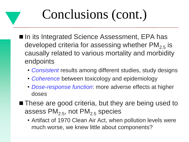- In its Integrated Science Assessment, EPA has developed criteria for assessing whether  $PM<sub>2.5</sub>$  is causally related to various mortality and morbidity endpoints
	- *Consistent* results among different studies, study designs
	- *Coherence* between toxicology and epidemiology
	- *Dose-response function*: more adverse effects at higher doses
- These are good criteria, but they are being used to assess  $PM<sub>2.5</sub>$ , not  $PM<sub>2.5</sub>$  species
	- Artifact of 1970 Clean Air Act, when pollution levels were much worse, we knew little about components?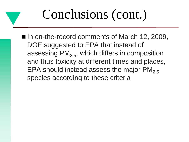■ In on-the-record comments of March 12, 2009, DOE suggested to EPA that instead of assessing  $PM<sub>2.5</sub>$ , which differs in composition and thus toxicity at different times and places, EPA should instead assess the major  $PM_{2.5}$ species according to these criteria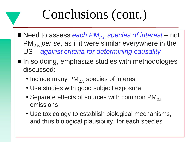- Need to assess *each PM<sub>2.5</sub> species of interest* not PM2.5 *per se*, as if it were similar everywhere in the US – *against criteria for determining causality*
- In so doing, emphasize studies with methodologies discussed:
	- Include many  $PM_{2,5}$  species of interest
	- Use studies with good subject exposure
	- Separate effects of sources with common  $PM_{2.5}$ emissions
	- Use toxicology to establish biological mechanisms, and thus biological plausibility, for each species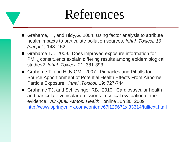# References

- Grahame, T., and Hidy,G. 2004. Using factor analysis to attribute health impacts to particulate pollution sources. *Inhal. Toxicol. 16 (suppl.*1):143–152.
- Grahame TJ. 2009. Does improved exposure information for PM2.5 constituents explain differing results among epidemiological studies? *Inhal .Toxicol.* 21: 381-393
- Grahame T, and Hidy GM. 2007. Pinnacles and Pitfalls for Source Apportionment of Potential Health Effects From Airborne Particle Exposure. *Inhal .Toxicol.* 19: 727-744
- Grahame TJ, and Schlesinger RB. 2010. Cardiovascular health and particulate vehicular emissions: a critical evaluation of the evidence. *Air Qual. Atmos. Health*. online Jun 30, 2009 <http://www.springerlink.com/content/67l125671xl33314/fulltext.html>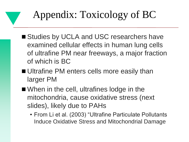# Appendix: Toxicology of BC

- Studies by UCLA and USC researchers have examined cellular effects in human lung cells of ultrafine PM near freeways, a major fraction of which is BC
- Ultrafine PM enters cells more easily than larger PM
- When in the cell, ultrafines lodge in the mitochondria, cause oxidative stress (next slides), likely due to PAHs
	- From Li et al. (2003) "Ultrafine Particulate Pollutants Induce Oxidative Stress and Mitochondrial Damage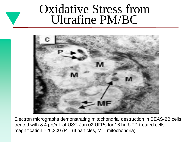# Oxidative Stress from Ultrafine PM/BC



Electron micrographs demonstrating mitochondrial destruction in BEAS-2B cells treated with 8.4 μg/mL of USC-Jan 02 UFPs for 16 hr; UFP-treated cells; magnification  $\times$ 26,300 (P = uf particles, M = mitochondria)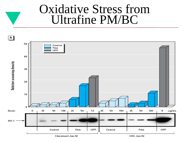# Oxidative Stress from Ultrafine PM/BC

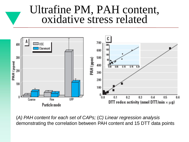### Ultrafine PM, PAH content, oxidative stress related



(*A) PAH content for each set of CAPs;* (*C) Linear regression analysis* demonstrating the correlation between PAH content and 15 DTT data points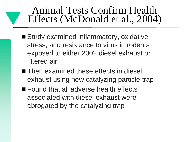- Study examined inflammatory, oxidative stress, and resistance to virus in rodents exposed to either 2002 diesel exhaust or filtered air
- Then examined these effects in diesel exhaust using new catalyzing particle trap
- **Found that all adverse health effects** associated with diesel exhaust were abrogated by the catalyzing trap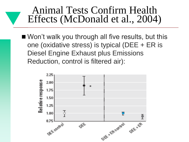Won't walk you through all five results, but this one (oxidative stress) is typical (DEE + ER is Diesel Engine Exhaust plus Emissions Reduction, control is filtered air):

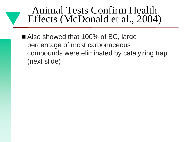■ Also showed that 100% of BC, large percentage of most carbonaceous compounds were eliminated by catalyzing trap (next slide)